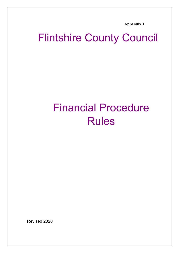**Appendix 1**

# Flintshire County Council

# Financial Procedure Rules

Revised 2020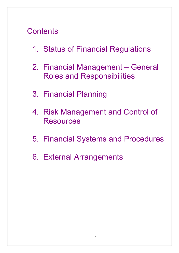# **Contents**

- 1. Status of Financial Regulations
- 2. Financial Management General Roles and Responsibilities
- 3. Financial Planning
- 4. Risk Management and Control of **Resources**
- 5. Financial Systems and Procedures
- 6. External Arrangements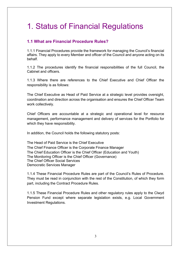# 1. Status of Financial Regulations

#### **1.1 What are Financial Procedure Rules?**

1.1.1 Financial Procedures provide the framework for managing the Council's financial affairs. They apply to every Member and officer of the Council and anyone acting on its behalf.

1.1.2 The procedures identify the financial responsibilities of the full Council, the Cabinet and officers.

1.1.3 Where there are references to the Chief Executive and Chief Officer the responsibility is as follows:

The Chief Executive as Head of Paid Service at a strategic level provides oversight, coordination and direction across the organisation and ensures the Chief Officer Team work collectively.

Chief Officers are accountable at a strategic and operational level for resource management, performance management and delivery of services for the Portfolio for which they have responsibility.

In addition, the Council holds the following statutory posts:

The Head of Paid Service is the Chief Executive The Chief Finance Officer is the Corporate Finance Manager The Chief Education Officer is the Chief Officer (Education and Youth) The Monitoring Officer is the Chief Officer (Governance) The Chief Officer Social Services Democratic Services Manager

1.1.4 These Financial Procedure Rules are part of the Council's Rules of Procedure. They must be read in conjunction with the rest of the Constitution, of which they form part, including the Contract Procedure Rules.

1.1.5 These Financial Procedure Rules and other regulatory rules apply to the Clwyd Pension Fund except where separate legislation exists, e.g. Local Government Investment Regulations.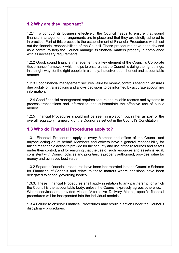# **1.2 Why are they important?**

1.2.1 To conduct its business effectively, the Council needs to ensure that sound financial management arrangements are in place and that they are strictly adhered to in practice. Part of this process is the establishment of Financial Procedures which set out the financial responsibilities of the Council. These procedures have been devised as a control to help the Council manage its financial matters properly in compliance with all necessary requirements.

1.2.2 Good, sound financial management is a key element of the Council's Corporate Governance framework which helps to ensure that the Council is doing the right things, in the right way, for the right people, in a timely, inclusive, open, honest and accountable manner.

1.2.3 Good financial management secures value for money, controls spending, ensures due probity of transactions and allows decisions to be informed by accurate accounting information.

1.2.4 Good financial management requires secure and reliable records and systems to process transactions and information and substantiate the effective use of public money*.*

1.2.5 Financial Procedures should not be seen in isolation, but rather as part of the overall regulatory framework of the Council as set out in the Council's Constitution.

#### **1.3 Who do Financial Procedures apply to?**

1.3.1 Financial Procedures apply to every Member and officer of the Council and anyone acting on its behalf. Members and officers have a general responsibility for taking reasonable action to provide for the security and use of the resources and assets under their control, and for ensuring that the use of such resources and assets is legal, consistent with Council policies and priorities, is properly authorised, provides value for money and achieves best value.

1.3.2 Separate financial procedures have been incorporated into the Council's Scheme for Financing of Schools and relate to those matters where decisions have been delegated to school governing bodies.

1.3.3. These Financial Procedures shall apply in relation to any partnership for which the Council is the accountable body, unless the Council expressly agrees otherwise. Where services are provided via an 'Alternative Delivery Model', specific financial procedures will be incorporated into the individual models.

1.3.4 Failure to observe Financial Procedures may result in action under the Council's disciplinary procedures.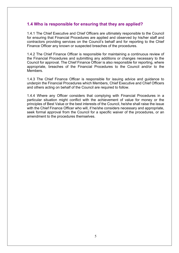#### **1.4 Who is responsible for ensuring that they are applied?**

1.4.1 The Chief Executive and Chief Officers are ultimately responsible to the Council for ensuring that Financial Procedures are applied and observed by his/her staff and contractors providing services on the Council's behalf and for reporting to the Chief Finance Officer any known or suspected breaches of the procedures.

1.4.2 The Chief Finance Officer is responsible for maintaining a continuous review of the Financial Procedures and submitting any additions or changes necessary to the Council for approval. The Chief Finance Officer is also responsible for reporting, where appropriate, breaches of the Financial Procedures to the Council and/or to the Members.

1.4.3 The Chief Finance Officer is responsible for issuing advice and guidance to underpin the Financial Procedures which Members, Chief Executive and Chief Officers and others acting on behalf of the Council are required to follow.

1.4.4 Where any Officer considers that complying with Financial Procedures in a particular situation might conflict with the achievement of value for money or the principles of Best Value or the best interests of the Council, he/she shall raise the issue with the Chief Finance Officer who will, if he/she considers necessary and appropriate, seek formal approval from the Council for a specific waiver of the procedures, or an amendment to the procedures themselves.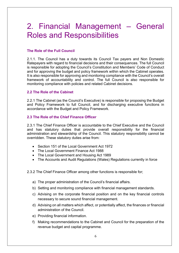# 2. Financial Management – General Roles and Responsibilities

#### **The Role of the Full Council**

2.1.1. The Council has a duty towards its Council Tax payers and Non Domestic Ratepayers with regard to financial decisions and their consequences. The full Council is responsible for adopting the Council's Constitution and Members' Code of Conduct and for approving the budget and policy framework within which the Cabinet operates. It is also responsible for approving and monitoring compliance with the Council's overall framework of accountability and control. The full Council is also responsible for monitoring compliance with policies and related Cabinet decisions.

#### **2.2 The Role of the Cabinet**

2.2.1 The Cabinet (as the Council's Executive) is responsible for proposing the Budget and Policy Framework to full Council, and for discharging executive functions in accordance with the Budget and Policy Framework.

#### **2.3 The Role of the Chief Finance Officer**

2.3.1 The Chief Finance Officer is accountable to the Chief Executive and the Council and has statutory duties that provide overall responsibility for the financial administration and stewardship of the Council. This statutory responsibility cannot be overridden. These statutory duties arise from:

- Section 151 of the Local Government Act 1972
- The Local Government Finance Act 1988
- The Local Government and Housing Act 1989
- The Accounts and Audit Regulations (Wales) Regulations currently in force

2.3.2 The Chief Finance Officer among other functions is responsible for;

- a) The proper administration of the Council's financial affairs.
- b) Setting and monitoring compliance with financial management standards.
- c) Advising on the corporate financial position and on the key financial controls necessary to secure sound financial management.
- d) Advising on all matters which affect, or potentially affect, the finances or financial administration of the Council.
- e) Providing financial information.
- f) Making recommendations to the Cabinet and Council for the preparation of the revenue budget and capital programme.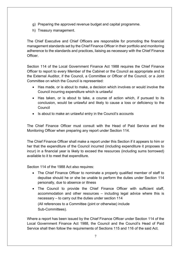- g) Preparing the approved revenue budget and capital programme.
- h) Treasury management.

The Chief Executive and Chief Officers are responsible for promoting the financial management standards set by the Chief Finance Officer in their portfolio and monitoring adherence to the standards and practices, liaising as necessary with the Chief Finance Officer.

Section 114 of the Local Government Finance Act 1988 requires the Chief Finance Officer to report to every Member of the Cabinet or the Council as appropriate and to the External Auditor, if the Council, a Committee or Officer of the Council, or a Joint Committee on which the Council is represented:

- Has made, or is about to make, a decision which involves or would involve the Council incurring expenditure which is unlawful
- Has taken, or is about to take, a course of action which, if pursued to its conclusion, would be unlawful and likely to cause a loss or deficiency to the Council
- Is about to make an unlawful entry in the Council's accounts

The Chief Finance Officer must consult with the Head of Paid Service and the Monitoring Officer when preparing any report under Section 114.

The Chief Finance Officer shall make a report under this Section if it appears to him or her that the expenditure of the Council incurred (including expenditure it proposes to incur) in a financial year is likely to exceed the resources (including sums borrowed) available to it to meet that expenditure.

Section 114 of the 1988 Act also requires:

- The Chief Finance Officer to nominate a properly qualified member of staff to deputise should he or she be unable to perform the duties under Section 114 personally, due to absence or illness
- The Council to provide the Chief Finance Officer with sufficient staff, accommodation and other resources – including legal advice where this is necessary – to carry out the duties under section 114 (All references to a Committee (joint or otherwise) include Sub-Committees).

Where a report has been issued by the Chief Finance Officer under Section 114 of the Local Government Finance Act 1988, the Council and the Council's Head of Paid Service shall then follow the requirements of Sections 115 and 116 of the said Act.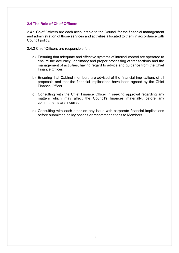#### **2.4 The Role of Chief Officers**

2.4.1 Chief Officers are each accountable to the Council for the financial management and administration of those services and activities allocated to them in accordance with Council policy.

2.4.2 Chief Officers are responsible for:

- a) Ensuring that adequate and effective systems of internal control are operated to ensure the accuracy, legitimacy and proper processing of transactions and the management of activities, having regard to advice and guidance from the Chief Finance Officer.
- b) Ensuring that Cabinet members are advised of the financial implications of all proposals and that the financial implications have been agreed by the Chief Finance Officer.
- c) Consulting with the Chief Finance Officer in seeking approval regarding any matters which may affect the Council's finances materially, before any commitments are incurred.
- d) Consulting with each other on any issue with corporate financial implications before submitting policy options or recommendations to Members.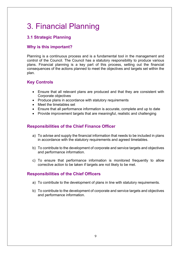# 3. Financial Planning

# **3.1 Strategic Planning**

# **Why is this important?**

Planning is a continuous process and is a fundamental tool in the management and control of the Council. The Council has a statutory responsibility to produce various plans. Financial planning is a key part of this process, setting out the financial consequences of the actions planned to meet the objectives and targets set within the plan.

# **Key Controls**

- Ensure that all relevant plans are produced and that they are consistent with Corporate objectives
- Produce plans in accordance with statutory requirements
- Meet the timetables set
- Ensure that all performance information is accurate, complete and up to date
- Provide improvement targets that are meaningful, realistic and challenging

# **Responsibilities of the Chief Finance Officer**

- a) To advise and supply the financial information that needs to be included in plans in accordance with the statutory requirements and agreed timetables.
- b) To contribute to the development of corporate and service targets and objectives and performance information.
- c) To ensure that performance information is monitored frequently to allow corrective action to be taken if targets are not likely to be met.

- a) To contribute to the development of plans in line with statutory requirements.
- b) To contribute to the development of corporate and service targets and objectives and performance information.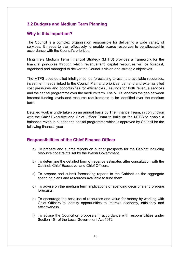#### **3.2 Budgets and Medium Term Planning**

#### **Why is this important?**

The Council is a complex organisation responsible for delivering a wide variety of services. It needs to plan effectively to enable scarce resources to be allocated in accordance with the Council's priorities.

Flintshire's Medium Term Financial Strategy (MTFS) provides a framework for the financial principles through which revenue and capital resources will be forecast, organised and managed to deliver the Council's vision and strategic objectives.

The MTFS uses detailed intelligence led forecasting to estimate available resources, investment needs linked to the Council Plan and priorities, demand and externally led cost pressures and opportunities for efficiencies / savings for both revenue services and the capital programme over the medium term. The MTFS enables the gap between forecast funding levels and resource requirements to be identified over the medium term.

Detailed work is undertaken on an annual basis by The Finance Team, in conjunction with the Chief Executive and Chief Officer Team to build on the MTFS to enable a balanced revenue budget and capital programme which is approved by Council for the following financial year.

#### **Responsibilities of the Chief Finance Officer**

- a) To prepare and submit reports on budget prospects for the Cabinet including resource constraints set by the Welsh Government.
- b) To determine the detailed form of revenue estimates after consultation with the Cabinet, Chief Executive and Chief Officers.
- c) To prepare and submit forecasting reports to the Cabinet on the aggregate spending plans and resources available to fund them.
- d) To advise on the medium term implications of spending decisions and prepare forecasts.
- e) To encourage the best use of resources and value for money by working with Chief Officers to identify opportunities to improve economy, efficiency and effectiveness.
- f) To advise the Council on proposals in accordance with responsibilities under Section 151 of the Local Government Act 1972.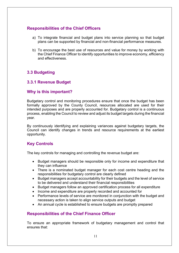#### **Responsibilities of the Chief Officers**

- a) To integrate financial and budget plans into service planning so that budget plans can be supported by financial and non-financial performance measures.
- b) To encourage the best use of resources and value for money by working with the Chief Finance Officer to identify opportunities to improve economy, efficiency and effectiveness.

# **3.3 Budgeting**

# **3.3.1 Revenue Budget**

#### **Why is this important?**

Budgetary control and monitoring procedures ensure that once the budget has been formally approved by the County Council, resources allocated are used for their intended purposes and are properly accounted for. Budgetary control is a continuous process, enabling the Council to review and adjust its budget targets during the financial year.

By continuously identifying and explaining variances against budgetary targets, the Council can identify changes in trends and resource requirements at the earliest opportunity.

# **Key Controls**

The key controls for managing and controlling the revenue budget are:

- Budget managers should be responsible only for income and expenditure that they can influence
- There is a nominated budget manager for each cost centre heading and the responsibilities for budgetary control are clearly defined
- Budget managers accept accountability for their budgets and the level of service to be delivered and understand their financial responsibilities
- Budget managers follow an approved certification process for all expenditure
- Income and expenditure are properly recorded and accounted for
- Performance levels of service are monitored in conjunction with the budget and necessary action is taken to align service outputs and budget
- An annual cycle is established to ensure budgets are promptly prepared

# **Responsibilities of the Chief Finance Officer**

To ensure an appropriate framework of budgetary management and control that ensures that: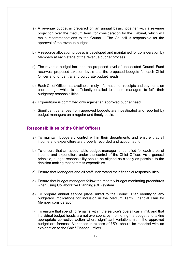- a) A revenue budget is prepared on an annual basis, together with a revenue projection over the medium term, for consideration by the Cabinet, which will make recommendations to the Council. The Council is responsible for the approval of the revenue budget.
- b) A resource allocation process is developed and maintained for consideration by Members at each stage of the revenue budget process.
- c) The revenue budget includes the proposed level of unallocated Council Fund reserves, proposed taxation levels and the proposed budgets for each Chief Officer and for central and corporate budget heads.
- d) Each Chief Officer has available timely information on receipts and payments on each budget which is sufficiently detailed to enable managers to fulfil their budgetary responsibilities.
- e) Expenditure is committed only against an approved budget head.
- f) Significant variances from approved budgets are investigated and reported by budget managers on a regular and timely basis.

- a) To maintain budgetary control within their departments and ensure that all income and expenditure are properly recorded and accounted for.
- b) To ensure that an accountable budget manager is identified for each area of income and expenditure under the control of the Chief Officer. As a general principle, budget responsibility should be aligned as closely as possible to the decision making that commits expenditure.
- c) Ensure that Managers and all staff understand their financial responsibilities.
- d) Ensure that budget managers follow the monthly budget monitoring procedures when using Collaborative Planning (CP) system.
- e) To prepare annual service plans linked to the Council Plan identifying any budgetary implications for inclusion in the Medium Term Financial Plan for Member consideration.
- f) To ensure that spending remains within the service's overall cash limit, and that individual budget heads are not overspent, by monitoring the budget and taking appropriate corrective action where significant variations from the approved budget are forecast. Variances in excess of £50k should be reported with an explanation to the Chief Finance Officer.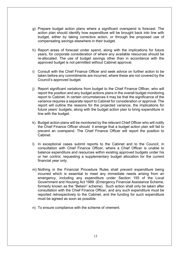- g) Prepare budget action plans where a significant overspend is forecast. The action plan should identify how expenditure will be brought back into line with budget, either by taking corrective action, or through the proposed use of compensating savings elsewhere in their budget.
- h) Report areas of forecast under spend, along with the implications for future years, for corporate consideration of where any available resources should be re-allocated. The use of budget savings other than in accordance with the approved budget is not permitted without Cabinet approval.
- i) Consult with the Chief Finance Officer and seek advice on further action to be taken before any commitments are incurred, where these are not covered by the Council's approved budget.
- j) Report significant variations from budget to the Chief Finance Officer, who will report the position and any budget actions plans in the overall budget monitoring report to Cabinet. In certain circumstances it may be that the significance of the variance requires a separate report to Cabinet for consideration or approval. The report will outline the reasons for the projected variance, the implications for future years' budgets, along with the budget action plan to bring expenditure in line with the budget.
- k) Budget action plans will be monitored by the relevant Chief Officer who will notify the Chief Finance Officer should it emerge that a budget action plan will fail to prevent an overspend. The Chief Finance Officer will report the position to Cabinet.
- l) In exceptional cases submit reports to the Cabinet and to the Council, in consultation with Chief Finance Officer, where a Chief Officer is unable to balance expenditure and resources within existing approved budgets under his or her control, requesting a supplementary budget allocation for the current financial year only.
- m) Nothing in the Financial Procedure Rules shall prevent expenditure being incurred which is essential to meet any immediate needs arising from an emergency, including any expenditure under Section 155 of the Local Government and Housing Act 1989 (Emergency Financial Assistance Scheme, formerly known as the "Belwin" scheme). Such action shall only be taken after consultation with the Chief Finance Officer, and any such expenditure must be reported retrospectively to the Cabinet, and the funding for such expenditure must be agreed as soon as possible.
- n) To ensure compliance with the scheme of virement.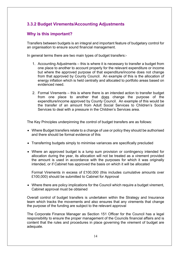# **3.3.2 Budget Virements/Accounting Adjustments**

# **Why is this important?**

Transfers between budgets is an integral and important feature of budgetary control for an organisation to ensure sound financial management.

In general terms there are two main types of budget transfers:-

- 1. Accounting Adjustments this is where it is necessary to transfer a budget from one place to another to account properly for the relevant expenditure or income but where the approved purpose of that expenditure/income does not change from that approved by County Council. An example of this is the allocation of energy inflation which is held centrally and allocated to portfolio areas based on evidenced need.
- 2. Formal Virements this is where there is an intended action to transfer budget from one place to another that does change the purpose of the expenditure/income approved by County Council. An example of this would be the transfer of an amount from Adult Social Services to Children's Social Services to deal with a pressure in the Children's Services area.

The Key Principles underpinning the control of budget transfers are as follows:

- Where Budget transfers relate to a change of use or policy they should be authorised and there should be formal evidence of this
- Transferring budgets simply to minimise variances are specifically precluded
- Where an approved budget is a lump sum provision or contingency intended for allocation during the year, its allocation will not be treated as a virement provided the amount is used in accordance with the purposes for which it was originally intended, or if Cabinet has approved the basis on which it will be allocated

Formal Virements in excess of £100,000 (this includes cumulative amounts over £100,000) should be submitted to Cabinet for Approval

 Where there are policy implications for the Council which require a budget virement, Cabinet approval must be obtained

Overall control of budget transfers is undertaken within the Strategy and Insurance team which tracks the movements and also ensures that any virements that change the purpose of the funding are subject to the relevant approval

The Corporate Finance Manager as Section 151 Officer for the Council has a legal responsibility to ensure the proper management of the Councils financial affairs and is content that the rules and procedures in place governing the virement of budget are adequate.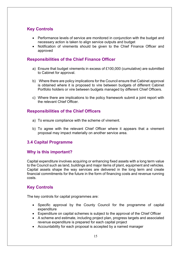# **Key Controls**

- Performance levels of service are monitored in conjunction with the budget and necessary action is taken to align service outputs and budget
- Notification of virements should be given to the Chief Finance Officer and approved

# **Responsibilities of the Chief Finance Officer**

- a) Ensure that budget virements in excess of £100,000 (cumulative) are submitted to Cabinet for approval.
- b) Where there are policy implications for the Council ensure that Cabinet approval is obtained where it is proposed to vire between budgets of different Cabinet Portfolio holders or vire between budgets managed by different Chief Officers.
- c) Where there are implications to the policy framework submit a joint report with the relevant Chief Officer.

# **Responsibilities of the Chief Officers**

- a) To ensure compliance with the scheme of virement.
- b) To agree with the relevant Chief Officer where it appears that a virement proposal may impact materially on another service area.

# **3.4 Capital Programme**

# **Why is this important?**

Capital expenditure involves acquiring or enhancing fixed assets with a long term value to the Council such as land, buildings and major items of plant, equipment and vehicles. Capital assets shape the way services are delivered in the long term and create financial commitments for the future in the form of financing costs and revenue running costs.

# **Key Controls**

The key controls for capital programmes are:

- Specific approval by the County Council for the programme of capital expenditure
- Expenditure on capital schemes is subject to the approval of the Chief Officer
- A scheme and estimate, including project plan, progress targets and associated revenue expenditure is prepared for each capital project
- Accountability for each proposal is accepted by a named manager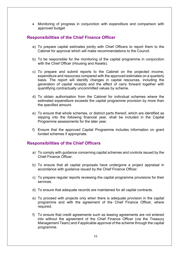Monitoring of progress in conjunction with expenditure and comparison with approved budget

#### **Responsibilities of the Chief Finance Officer**

- a) To prepare capital estimates jointly with Chief Officers to report them to the Cabinet for approval which will make recommendations to the Council.
- b) To be responsible for the monitoring of the capital programme in conjunction with the Chief Officer (Housing and Assets).
- c) To prepare and submit reports to the Cabinet on the projected income, expenditure and resources compared with the approved estimates on a quarterly basis. The report will identify changes in capital resources, including the generation of capital receipts and the effect of carry forward together with quantifying contractually uncommitted values by scheme.
- d) To obtain authorisation from the Cabinet for individual schemes where the estimated expenditure exceeds the capital programme provision by more than the specified amount.
- e) To ensure that whole schemes, or distinct parts thereof, which are identified as slipping into the following financial year, shall be included in the Capital Programme assessments for the later year.
- f) Ensure that the approved Capital Programme includes information on grant funded schemes if appropriate.

- a) To comply with guidance concerning capital schemes and controls issued by the Chief Finance Officer.
- b) To ensure that all capital proposals have undergone a project appraisal in accordance with guidance issued by the Chief Finance Officer.
- c) To prepare regular reports reviewing the capital programme provisions for their services.
- d) To ensure that adequate records are maintained for all capital contracts.
- e) To proceed with projects only when there is adequate provision in the capital programme and with the agreement of the Chief Finance Officer, where required.
- f) To ensure that credit agreements such as leasing agreements are not entered into without the agreement of the Chief Finance Officer (via the Treasury Management Team) and if applicable approval of the scheme through the capital programme.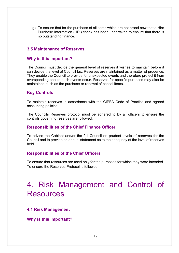g) To ensure that for the purchase of all items which are not brand new that a Hire Purchase Information (HPI) check has been undertaken to ensure that there is no outstanding finance.

#### **3.5 Maintenance of Reserves**

#### **Why is this important?**

The Council must decide the general level of reserves it wishes to maintain before it can decide the level of Council tax. Reserves are maintained as a matter of prudence. They enable the Council to provide for unexpected events and therefore protect it from overspending should such events occur. Reserves for specific purposes may also be maintained such as the purchase or renewal of capital items.

#### **Key Controls**

To maintain reserves in accordance with the CIPFA Code of Practice and agreed accounting policies.

The Councils Reserves protocol must be adhered to by all officers to ensure the controls governing reserves are followed.

#### **Responsibilities of the Chief Finance Officer**

To advise the Cabinet and/or the full Council on prudent levels of reserves for the Council and to provide an annual statement as to the adequacy of the level of reserves held.

#### **Responsibilities of the Chief Officers**

To ensure that resources are used only for the purposes for which they were intended. To ensure the Reserves Protocol is followed.

# 4. Risk Management and Control of **Resources**

#### **4.1 Risk Management**

**Why is this important?**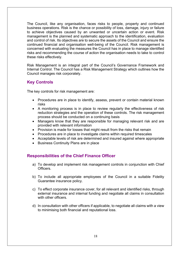The Council, like any organisation, faces risks to people, property and continued business operations. Risk is the chance or possibility of loss, damage, injury or failure to achieve objectives caused by an unwanted or uncertain action or event. Risk management is the planned and systematic approach to the identification, evaluation and control of risk. Its objectives are to secure the assets of the Council and ensure the continued financial and organisation well-being of the Council. Risk management is concerned with evaluating the measures the Council has in place to manage identified risks and recommending the course of action the organisation needs to take to control these risks effectively.

Risk Management is an integral part of the Council's Governance Framework and Internal Control. The Council has a Risk Management Strategy which outlines how the Council manages risk corporately.

# **Key Controls**

The key controls for risk management are:

- Procedures are in place to identify, assess, prevent or contain material known risks
- A monitoring process is in place to review regularly the effectiveness of risk reduction strategies and the operation of these controls. The risk management process should be conducted on a continuing basis
- Managers know that they are responsible for managing relevant risk and are provided with relevant information
- Provision is made for losses that might result from the risks that remain
- Procedures are in place to investigate claims within required timescales
- Acceptable levels of risk are determined and insured against where appropriate
- Business Continuity Plans are in place

#### **Responsibilities of the Chief Finance Officer**

- a) To develop and implement risk management controls in conjunction with Chief Officers.
- b) To include all appropriate employees of the Council in a suitable Fidelity Guarantee insurance policy.
- c) To effect corporate insurance cover, for all relevant and identified risks, through external insurance and internal funding and negotiate all claims in consultation with other officers.
- d) In consultation with other officers if applicable, to negotiate all claims with a view to minimising both financial and reputational loss.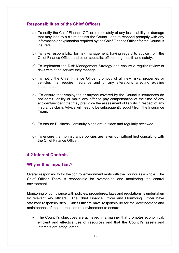# **Responsibilities of the Chief Officers**

- a) To notify the Chief Finance Officer immediately of any loss, liability or damage that may lead to a claim against the Council, and to respond promptly with any information or explanation required by the Chief Finance Officer for the Council's **insurers**
- b) To take responsibility for risk management, having regard to advice from the Chief Finance Officer and other specialist officers e.g. health and safety.
- c) To implement the Risk Management Strategy and ensure a regular review of risks within the service they manage.
- d) To notify the Chief Finance Officer promptly of all new risks, properties or vehicles that require insurance and of any alterations affecting existing insurances.
- e) To ensure that employees or anyone covered by the Council's insurances do not admit liability or make any offer to pay compensation at the time of any accident/incident that may prejudice the assessment of liability in respect of any insurance claim. Advice will need to be subsequently sought from the Insurance Team.
- f) To ensure Business Continuity plans are in place and regularly reviewed.
- g) To ensure that no insurance policies are taken out without first consulting with the Chief Finance Officer.

# **4.2 Internal Controls**

#### **Why is this important?**

Overall responsibility for the control environment rests with the Council as a whole. The Chief Officer Team is responsible for overseeing and monitoring the control environment.

Monitoring of compliance with policies, procedures, laws and regulations is undertaken by relevant key officers. The Chief Finance Officer and Monitoring Officer have statutory responsibilities. Chief Officers have responsibility for the development and maintenance of the internal control environment to ensure:

 The Council's objectives are achieved in a manner that promotes economical, efficient and effective use of resources and that the Council's assets and interests are safeguarded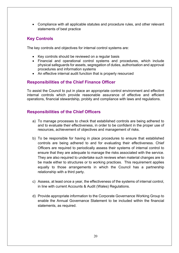Compliance with all applicable statutes and procedure rules, and other relevant statements of best practice

#### **Key Controls**

The key controls and objectives for internal control systems are:

- Key controls should be reviewed on a regular basis
- Financial and operational control systems and procedures, which include physical safeguards for assets, segregation of duties, authorisation and approval procedures and information systems
- An effective internal audit function that is properly resourced

# **Responsibilities of the Chief Finance Officer**

To assist the Council to put in place an appropriate control environment and effective internal controls which provide reasonable assurance of effective and efficient operations, financial stewardship, probity and compliance with laws and regulations.

- a) To manage processes to check that established controls are being adhered to and to evaluate their effectiveness, in order to be confident in the proper use of resources, achievement of objectives and management of risks.
- b) To be responsible for having in place procedures to ensure that established controls are being adhered to and for evaluating their effectiveness. Chief Officers are required to periodically assess their systems of internal control to ensure that they are adequate to manage the risks associated with the service. They are also required to undertake such reviews when material changes are to be made either to structures or to working practices. This requirement applies equally to those arrangements in which the Council has a partnership relationship with a third party.
- c) Assess, at least once a year, the effectiveness of the systems of internal control, in line with current Accounts & Audit (Wales) Regulations.
- d) Provide appropriate information to the Corporate Governance Working Group to enable the Annual Governance Statement to be included within the financial statements, as required.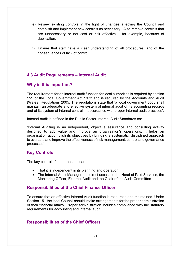- e) Review existing controls in the light of changes affecting the Council and establish and implement new controls as necessary. Also remove controls that are unnecessary or not cost or risk effective – for example, because of duplication.
- f) Ensure that staff have a clear understanding of all procedures, and of the consequences of lack of control.

# **4.3 Audit Requirements – Internal Audit**

#### **Why is this important?**

The requirement for an internal audit function for local authorities is required by section 151 of the Local Government Act 1972 and is required by the Accounts and Audit (Wales) Regulations 2005. The regulations state that 'a local government body shall maintain an adequate and effective system of internal audit of its accounting records and of its system of internal control in accordance with proper internal audit practices'.

Internal audit is defined in the Public Sector Internal Audit Standards as:

'Internal Auditing is an independent, objective assurance and consulting activity designed to add value and improve an organisation's operations. It helps an organisation accomplish its objectives by bringing a systematic, disciplined approach to evaluate and improve the effectiveness of risk management, control and governance processes'

# **Key Controls**

The key controls for internal audit are:

- That it is independent in its planning and operation
- The Internal Audit Manager has direct access to the Head of Paid Services, the Monitoring Officer, External Audit and the Chair of the Audit Committee

# **Responsibilities of the Chief Finance Officer**

To ensure that an effective Internal Audit function is resourced and maintained. Under Section 151 the local Council should 'make arrangements for the proper administration of their financial affairs'. Proper administration includes compliance with the statutory requirements for accounting and internal audit.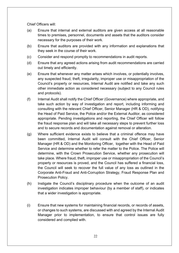Chief Officers will:

- (a) Ensure that internal and external auditors are given access at all reasonable times to premises, personnel, documents and assets that the auditors consider necessary for the purposes of their work.
- (b) Ensure that auditors are provided with any information and explanations that they seek in the course of their work.
- (c) Consider and respond promptly to recommendations in audit reports.
- (d) Ensure that any agreed actions arising from audit recommendations are carried out timely and efficiently.
- (e) Ensure that whenever any matter arises which involves, or potentially involves, any suspected fraud, theft, irregularity, improper use or misappropriation of the Council's property or resources, Internal Audit are notified and take any such other immediate action as considered necessary (subject to any Council rules and protocols).
- (f) Internal Audit shall notify the Chief Officer (Governance) where appropriate, and take such action by way of investigation and report, including informing and consulting with the relevant Chief Officer, Senior Manager (HR & OD), notifying the Head of Paid Service, the Police and/or the External Auditor, as considered appropriate. Pending investigations and reporting, the Chief Officer will follow the fraud response plan and will take all necessary steps to prevent further loss and to secure records and documentation against removal or alteration.
- (g) Where sufficient evidence exists to believe that a criminal offence may have been committed, Internal Audit will consult with the Chief Officer, Senior Manager (HR & OD) and the Monitoring Officer, together with the Head of Paid Service and determine whether to refer the matter to the Police. The Police will determine, with the Crown Prosecution Service, whether any prosecution will take place. Where fraud, theft, improper use or misappropriation of the Council's property or resources is proved, and the Council has suffered a financial loss, the Council will seek to recover the full value of any loss as outlined in the Corporate Anti-Fraud and Anti-Corruption Strategy, Fraud Response Plan and Prosecution Policy.
- (h) Instigate the Council's disciplinary procedure when the outcome of an audit investigation indicates improper behaviour (by a member of staff), or indicates that a wider investigation is appropriate.
- (i) Ensure that new systems for maintaining financial records, or records of assets, or changes to such systems, are discussed with and agreed by the Internal Audit Manager prior to implementation, to ensure that control issues are fully considered and complied with.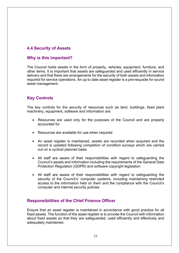# **4.4 Security of Assets**

#### **Why is this important?**

The Council holds assets in the form of property, vehicles, equipment, furniture, and other items. It is important that assets are safeguarded and used efficiently in service delivery and that there are arrangements for the security of both assets and information required for service operations. An up to date asset register is a pre-requisite for sound asset management.

# **Key Controls**

The key controls for the security of resources such as land, buildings, fixed plant machinery, equipment, software and information are:

- Resources are used only for the purposes of the Council and are properly accounted for
- Resources are available for use when required
- An asset register is maintained, assets are recorded when acquired and the record is updated following completion of condition surveys which are carried out on a cyclical planned basis
- All staff are aware of their responsibilities with regard to safeguarding the Council's assets and information including the requirements of the General Data Protection Regulation (GDPR) and software copyright legislation
- All staff are aware of their responsibilities with regard to safeguarding the security of the Council's' computer systems, including maintaining restricted access to the information held on them and the compliance with the Council's computer and internet security policies

#### **Responsibilities of the Chief Finance Officer**

Ensure that an asset register is maintained in accordance with good practice for all fixed assets. The function of the asset register is to provide the Council with information about fixed assets so that they are safeguarded, used efficiently and effectively and adequately maintained.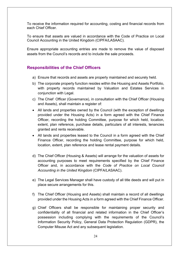To receive the information required for accounting, costing and financial records from each Chief Officer.

To ensure that assets are valued in accordance with the Code of Practice on Local Council Accounting in the United Kingdom (CIPFA/LASAAC).

Ensure appropriate accounting entries are made to remove the value of disposed assets from the Council's records and to include the sale proceeds.

- a) Ensure that records and assets are properly maintained and securely held.
- b) The corporate property function resides within the Housing and Assets Portfolio, with property records maintained by Valuation and Estates Services in conjunction with Legal.
- c) The Chief Officer (Governance), in consultation with the Chief Officer (Housing and Assets), shall maintain a register of:
- All lands and properties owned by the Council (with the exception of dwellings provided under the Housing Acts) in a form agreed with the Chief Finance Officer, recording the holding Committee, purpose for which held, location, extent, plan reference, purchase details, particulars of all interests, tenancies granted and rents receivable.
- All lands and properties leased to the Council in a form agreed with the Chief Finance Officer, recording the holding Committee, purpose for which held, location, extent, plan reference and lease rental payment details.
- d) The Chief Officer (Housing & Assets) will arrange for the valuation of assets for accounting purposes to meet requirements specified by the Chief Finance Officer and, in accordance with the *Code of Practice on Local Council Accounting in the United Kingdom* (CIPFA/LASAAC).
- e) The Legal Services Manager shall have custody of all title deeds and will put in place secure arrangements for this.
- f) The Chief Officer (Housing and Assets) shall maintain a record of all dwellings provided under the Housing Acts in a form agreed with the Chief Finance Officer.
- g) Chief Officers shall be responsible for maintaining proper security and confidentiality of all financial and related information in the Chief Officer's possession including complying with the requirements of the Council's Information Security Policy, General Data Protection Regulation (GDPR), the Computer Misuse Act and any subsequent legislation.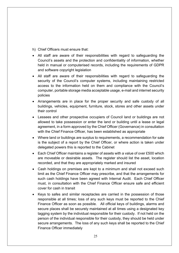- h) Chief Officers must ensure that:
- All staff are aware of their responsibilities with regard to safeguarding the Council's assets and the protection and confidentiality of information, whether held in manual or computerised records, including the requirements of GDPR and software copyright legislation
- All staff are aware of their responsibilities with regard to safeguarding the security of the Council's computer systems, including maintaining restricted access to the information held on them and compliance with the Council's computer, portable storage media acceptable usage, e-mail and internet security policies
- Arrangements are in place for the proper security and safe custody of all buildings, vehicles, equipment, furniture, stock, stores and other assets under their control
- Lessees and other prospective occupiers of Council land or buildings are not allowed to take possession or enter the land or building until a lease or legal agreement, in a form approved by the Chief Officer (Governance) in consultation with the Chief Finance Officer, has been established as appropriate
- Where land or buildings are surplus to requirements, a recommendation for sale is the subject of a report by the Chief Officer, or where action is taken under delegated powers this is reported to the Cabinet
- Each Chief Officer maintains a register of assets with a value of over £500 which are moveable or desirable assets. The register should list the asset, location recorded, and that they are appropriately marked and insured
- Cash holdings on premises are kept to a minimum and shall not exceed such limit as the Chief Finance Officer may prescribe, and that the arrangements for such cash holdings have been agreed with Internal Audit. Each Chief Officer must, in consultation with the Chief Finance Officer ensure safe and efficient cover for cash in transit
- Keys to safes and similar receptacles are carried in the possession of those responsible at all times; loss of any such keys must be reported to the Chief Finance Officer as soon as possible. All official keys of buildings, alarms and secure places shall be securely maintained at all times using a designated key tagging system by the individual responsible for their custody. If not held on the person of the individual responsible for their custody, they should be held under secure arrangements. The loss of any such keys shall be reported to the Chief Finance Officer immediately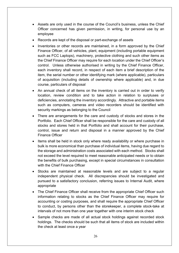- Assets are only used in the course of the Council's business, unless the Chief Officer concerned has given permission, in writing, for personal use by an employee
- Records are kept of the disposal or part-exchange of assets
- Inventories or other records are maintained, in a form approved by the Chief Finance Officer, of all vehicles, plant, equipment (including portable equipment such as FCC Laptops), machinery, protective clothing and such other items as the Chief Finance Officer may require for each location under the Chief Officer's control. Unless otherwise authorised in writing by the Chief Finance Officer, each inventory shall record, in respect of each item a brief description of the item, the serial number or other identifying mark (where applicable), particulars of acquisition (including details of ownership where applicable) and, in due course, particulars of disposal
- An annual check of all items on the inventory is carried out in order to verify location, review condition and to take action in relation to surpluses or deficiencies, annotating the inventory accordingly. Attractive and portable items such as computers, cameras and video recorders should be identified with security markings as belonging to the Council
- There are arrangements for the care and custody of stocks and stores in the Portfolio. Each Chief Officer shall be responsible for the care and custody of all stocks and stores held in that Portfolio and shall account for their purchase, control, issue and return and disposal in a manner approved by the Chief Finance Officer
- Items shall be held in stock only where ready availability or where purchase in bulk is more economical than purchase of individual items, having due regard to the storage and administration costs associated with each method. Stocks shall not exceed the level required to meet reasonable anticipated needs or to obtain the benefits of bulk purchasing, except in special circumstances in consultation with the Chief Finance Officer
- Stocks are maintained at reasonable levels and are subject to a regular independent physical check. All discrepancies should be investigated and pursued to a satisfactory conclusion, referring issues to Internal Audit, where appropriate
- The Chief Finance Officer shall receive from the appropriate Chief Officer such information relating to stocks as the Chief Finance Officer may require for accounting or costing purposes, and shall require the appropriate Chief Officer to conduct, by persons other than the storekeeper, a complete stock-take at intervals of not more than one year together with one interim stock check
- Sample checks are made of all actual stock holdings against recorded stock holdings. The checks should be such that all items of stock are included within the check at least once a year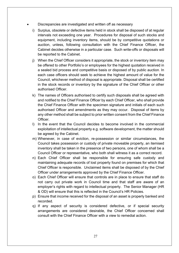- Discrepancies are investigated and written off as necessary
	- i) Surplus, obsolete or defective items held in stock shall be disposed of at regular intervals not exceeding one year. Procedures for disposal of such stocks and equipment, including inventory items, should be by competitive quotations or auction, unless, following consultation with the Chief Finance Officer, the Cabinet decides otherwise in a particular case. Such write-offs or disposals will be reported to the Cabinet.
	- j) When the Chief Officer considers it appropriate, the stock or inventory item may be offered to other Portfolio's or employees for the highest quotation received in a sealed bid process and competitive basis or disposed of by public auction. In each case officers should seek to achieve the highest amount of value for the Council, whichever method of disposal is appropriate. Disposal shall be certified in the stock records or inventory by the signature of the Chief Officer or other authorised Officer.
	- k) The names of Officers authorised to certify such disposals shall be agreed with and notified to the Chief Finance Officer by each Chief Officer, who shall provide the Chief Finance Officer with the specimen signature and initials of each such authorised Officer and amendments as they may occur. Disposal of items by any other method shall be subject to prior written consent from the Chief Finance Officer.
	- l) In the event that the Council decides to become involved in the commercial exploitation of intellectual property e.g. software development, the matter should be agreed by the Cabinet.
	- m) Whenever, in case of eviction, re-possession or similar circumstances, the Council takes possession or custody of private moveable property, an itemised inventory shall be taken in the presence of two persons, one of whom shall be a Council Officer or representative, who both shall witness it as a correct record.
	- n) Each Chief Officer shall be responsible for ensuring safe custody and maintaining adequate records of lost property found on premises for which that Chief Officer is responsible. Unclaimed items shall be disposed of by the Chief Officer under arrangements approved by the Chief Finance Officer.
	- o) Each Chief Officer will ensure that controls are in place to ensure that staff do not carry out private work in Council time and that staff are aware of an employer's rights with regard to intellectual property. The Senior Manager (HR & OD) will ensure that this is reflected in the Council's HR Policies.
	- p) Ensure that income received for the disposal of an asset is properly banked and recorded.
	- q) If any aspect of security is considered defective, or if special security arrangements are considered desirable, the Chief Officer concerned shall consult with the Chief Finance Officer with a view to remedial action.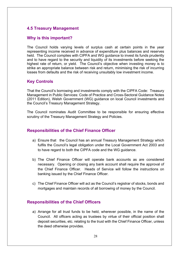# **4.5 Treasury Management**

#### **Why is this important?**

The Council holds varying levels of surplus cash at certain points in the year representing income received in advance of expenditure plus balances and reserves held. The Council complies with CIPFA and WG guidance to invest its funds prudently and to have regard to the security and liquidity of its investments before seeking the highest rate of return, or yield. The Council's objective when investing money is to strike an appropriate balance between risk and return, minimising the risk of incurring losses from defaults and the risk of receiving unsuitably low investment income.

#### **Key Controls**

That the Council's borrowing and investments comply with the CIPFA Code: Treasury Management in Public Services: Code of Practice and Cross-Sectoral Guidance Notes (2011 Edition), Welsh Government (WG) guidance on local Council investments and the Council's Treasury Management Strategy.

The Council nominates Audit Committee to be responsible for ensuring effective scrutiny of the Treasury Management Strategy and Policies.

#### **Responsibilities of the Chief Finance Officer**

- a) Ensure that the Council has an annual Treasury Management Strategy which fulfils the Council's legal obligation under the Local Government Act 2003 and to have regard to both the CIPFA code and the WG guidance.
- b) The Chief Finance Officer will operate bank accounts as are considered necessary. Opening or closing any bank account shall require the approval of the Chief Finance Officer. Heads of Service will follow the instructions on banking issued by the Chief Finance Officer.
- c) The Chief Finance Officer will act as the Council's registrar of stocks, bonds and mortgages and maintain records of all borrowing of money by the Council.

#### **Responsibilities of the Chief Officers**

a) Arrange for all trust funds to be held, wherever possible, in the name of the Council. All officers acting as trustees by virtue of their official position shall deposit securities, etc. relating to the trust with the Chief Finance Officer, unless the deed otherwise provides.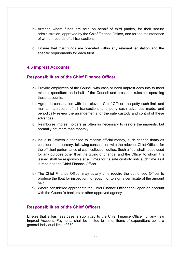- b) Arrange where funds are held on behalf of third parties, for their secure administration, approved by the Chief Finance Officer, and for the maintenance of written records of all transactions.
- c) Ensure that trust funds are operated within any relevant legislation and the specific requirements for each trust.

# **4.6 Imprest Accounts**

#### **Responsibilities of the Chief Finance Officer**

- a) Provide employees of the Council with cash or bank imprest accounts to meet minor expenditure on behalf of the Council and prescribe rules for operating these accounts.
- b) Agree, in consultation with the relevant Chief Officer, the petty cash limit and maintain a record of all transactions and petty cash advances made, and periodically review the arrangements for the safe custody and control of these advances.
- c) Reimburse imprest holders as often as necessary to restore the imprests, but normally not more than monthly.
- d) Issue to Officers authorised to receive official money, such change floats as considered necessary, following consultation with the relevant Chief Officer, for the efficient performance of cash collection duties. Such a float shall not be used for any purpose other than the giving of change, and the Officer to whom it is issued shall be responsible at all times for its safe custody until such time as it is repaid to the Chief Finance Officer.
- e) The Chief Finance Officer may at any time require the authorised Officer to produce the float for inspection, to repay it or to sign a certificate of the amount held.
- f) Where considered appropriate the Chief Finance Officer shall open an account with the Council's bankers or other approved agency.

# **Responsibilities of the Chief Officers**

Ensure that a business case is submitted to the Chief Finance Officer for any new Imprest Account. Payments shall be limited to minor items of expenditure up to a general individual limit of £50.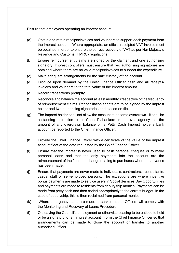Ensure that employees operating an imprest account:

- (a) Obtain and retain receipts/invoices and vouchers to support each payment from the Imprest account. Where appropriate, an official receipted VAT invoice must be obtained in order to ensure the correct recovery of VAT as per Her Majesty's Revenue and Customs (HMRC) regulations.
- (b) Ensure reimbursement claims are signed by the claimant and one authorising signatory. Imprest controllers must ensure that two authorising signatories are obtained where there are no valid receipts/invoices to support the expenditure.
- (c) Make adequate arrangements for the safe custody of the account.
- (d) Produce upon demand by the Chief Finance Officer cash and all receipts/ invoices and vouchers to the total value of the imprest amount.
- (e) Record transactions promptly.
- (f) Reconcile and balance the account at least monthly irrespective of the frequency of reimbursement claims. Reconciliation sheets are to be signed by the imprest holder and two authorising signatories and placed on file.
- (g) The Imprest holder shall not allow the account to become overdrawn. It shall be a standing instruction to the Council's bankers or approved agency that the amount of any overdrawn balance on a Petty Cash Imprest holder's bank account be reported to the Chief Finance Officer.
- (h) Provide the Chief Finance Officer with a certificate of the value of the imprest account/float at the date requested by the Chief Finance Officer.
- (i) Ensure that the imprest is never used to cash personal cheques or to make personal loans and that the only payments into the account are the reimbursement of the float and change relating to purchases where an advance has been made.
- (j) Ensure that payments are never made to individuals, contractors, consultants, casual staff or self-employed persons. The exceptions are where incentive bonus payments are made to service users in Social Services Day Opportunities and payments are made to residents from deputyship monies. Payments can be made from petty cash and then coded appropriately to the correct budget. In the case of deputyship, this is then reclaimed from personal monies.
- (k) Where emergency loans are made to service users, Officers will comply with the Monitoring and Recovery of Loans Procedure.
- (l) On leaving the Council's employment or otherwise ceasing to be entitled to hold or be a signatory for an imprest account inform the Chief Finance Officer so that arrangements can be made to close the account or transfer to another authorised Officer.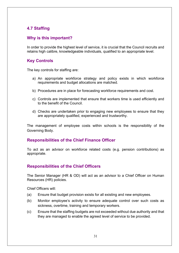# **4.7 Staffing**

# **Why is this important?**

In order to provide the highest level of service, it is crucial that the Council recruits and retains high calibre, knowledgeable individuals, qualified to an appropriate level.

# **Key Controls**

The key controls for staffing are:

- a) An appropriate workforce strategy and policy exists in which workforce requirements and budget allocations are matched.
- b) Procedures are in place for forecasting workforce requirements and cost.
- c) Controls are implemented that ensure that workers time is used efficiently and to the benefit of the Council.
- d) Checks are undertaken prior to engaging new employees to ensure that they are appropriately qualified, experienced and trustworthy.

The management of employee costs within schools is the responsibility of the Governing Body.

# **Responsibilities of the Chief Finance Officer**

To act as an advisor on workforce related costs (e.g. pension contributions) as appropriate.

# **Responsibilities of the Chief Officers**

The Senior Manager (HR & OD) will act as an advisor to a Chief Officer on Human Resources (HR) policies.

Chief Officers will:

- (a) Ensure that budget provision exists for all existing and new employees.
- (b) Monitor employee's activity to ensure adequate control over such costs as sickness, overtime, training and temporary workers.
- (c) Ensure that the staffing budgets are not exceeded without due authority and that they are managed to enable the agreed level of service to be provided.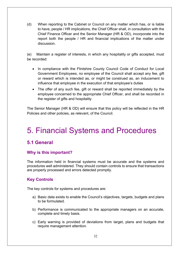(d) When reporting to the Cabinet or Council on any matter which has, or is liable to have, people / HR implications, the Chief Officer shall, in consultation with the Chief Finance Officer and the Senior Manager (HR & OD), incorporate into the report both the people / HR and financial implications of the matter under discussion.

(e) Maintain a register of interests, in which any hospitality or gifts accepted, must be recorded:

- In compliance with the Flintshire County Council Code of Conduct for Local Government Employees, no employee of the Council shall accept any fee, gift or reward which is intended as, or might be construed as, an inducement to influence that employee in the execution of that employee's duties
- The offer of any such fee, gift or reward shall be reported immediately by the employee concerned to the appropriate Chief Officer, and shall be recorded in the register of gifts and hospitality

The Senior Manager (HR & OD) will ensure that this policy will be reflected in the HR Policies and other policies, as relevant, of the Council.

# 5. Financial Systems and Procedures

# **5.1 General**

# **Why is this important?**

The information held in financial systems must be accurate and the systems and procedures well administered. They should contain controls to ensure that transactions are properly processed and errors detected promptly.

# **Key Controls**

The key controls for systems and procedures are:

- a) Basic data exists to enable the Council's objectives, targets, budgets and plans to be formulated.
- b) Performance is communicated to the appropriate managers on an accurate, complete and timely basis.
- c) Early warning is provided of deviations from target, plans and budgets that require management attention.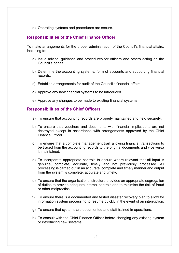d) Operating systems and procedures are secure.

#### **Responsibilities of the Chief Finance Officer**

To make arrangements for the proper administration of the Council's financial affairs, including to:

- a) Issue advice, guidance and procedures for officers and others acting on the Council's behalf.
- b) Determine the accounting systems, form of accounts and supporting financial records.
- c) Establish arrangements for audit of the Council's financial affairs.
- d) Approve any new financial systems to be introduced.
- e) Approve any changes to be made to existing financial systems.

- a) To ensure that accounting records are properly maintained and held securely.
- b) To ensure that vouchers and documents with financial implications are not destroyed except in accordance with arrangements approved by the Chief Finance Officer.
- c) To ensure that a complete management trail, allowing financial transactions to be traced from the accounting records to the original documents and vice versa is maintained.
- d) To incorporate appropriate controls to ensure where relevant that all input is genuine, complete, accurate, timely and not previously processed. All processing is carried out in an accurate, complete and timely manner and output from the system is complete, accurate and timely.
- e) To ensure that the organisational structure provides an appropriate segregation of duties to provide adequate internal controls and to minimise the risk of fraud or other malpractice.
- f) To ensure there is a documented and tested disaster recovery plan to allow for information system processing to resume quickly in the event of an interruption.
- g) To ensure that systems are documented and staff trained in operations.
- h) To consult with the Chief Finance Officer before changing any existing system or introducing new systems.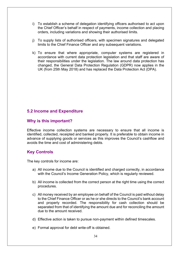- i) To establish a scheme of delegation identifying officers authorised to act upon the Chief Officer's behalf in respect of payments, income collection and placing orders, including variations and showing their authorised limits.
- j) To supply lists of authorised officers, with specimen signatures and delegated limits to the Chief Finance Officer and any subsequent variations.
- k) To ensure that where appropriate, computer systems are registered in accordance with current data protection legislation and that staff are aware of their responsibilities under the legislation. The law around data protection has changed, the General Data Protection Regulation (GDPR) now applies in the UK (from 25th May 2018) and has replaced the Data Protection Act (DPA).

#### **5.2 Income and Expenditure**

#### **Why is this important?**

Effective income collection systems are necessary to ensure that all income is identified, collected, receipted and banked properly. It is preferable to obtain income in advance of supplying goods or services as this improves the Council's cashflow and avoids the time and cost of administering debts.

# **Key Controls**

The key controls for income are:

- a) All income due to the Council is identified and charged correctly, in accordance with the Council's Income Generation Policy, which is regularly reviewed.
- b) All income is collected from the correct person at the right time using the correct procedures.
- c) All money received by an employee on behalf of the Council is paid without delay to the Chief Finance Officer or as he or she directs to the Council's bank account and properly recorded. The responsibility for cash collection should be separated from that of identifying the amount due and for reconciling the amount due to the amount received.
- d) Effective action is taken to pursue non-payment within defined timescales.
- e) Formal approval for debt write-off is obtained.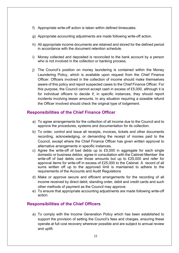- f) Appropriate write-off action is taken within defined timescales.
- g) Appropriate accounting adjustments are made following write-off action.
- h) All appropriate income documents are retained and stored for the defined period in accordance with the document retention schedule.
- i) Money collected and deposited is reconciled to the bank account by a person who is not involved in the collection or banking process.
- j) The Council's position on money laundering is contained within the Money Laundering Policy, which is available upon request from the Chief Finance Officer. Officers involved in the collection of income should make themselves aware of this policy and report suspected cases to the Chief Finance Officer. For this purpose, the Council cannot accept cash in excess of £5,000, although it is for individual officers to decide if, in specific instances, they should report incidents involving lesser amounts. In any situation requiring a sizeable refund the Officer involved should check the original type of lodgement.

#### **Responsibilities of the Chief Finance Officer**

- a) To agree arrangements for the collection of all income due to the Council and to approve the procedures, systems and documentation for its collection.
- b) To order, control and issue all receipts, invoices, tickets and other documents recording, acknowledging, or demanding the receipt of monies paid to the Council, except where the Chief Finance Officer has given written approval to alternative arrangements in specific instances.
- c) Agree the write-off of bad debts up to £5,000 in aggregate for each single domestic or business debtor, agree in consultation with the Cabinet Member the write-off of bad debts over those amounts but up to £25,000 and refer for approval items for write-off in excess of £25,000 to the Cabinet. A record of all sums written off up to the approved limit is maintained to adhere to the requirements of the Accounts and Audit Regulations
- d) Make or approve secure and efficient arrangements for the recording of all income received by direct debit, standing order, debit and credit cards and such other methods of payment as the Council may approve.
- e) To ensure that appropriate accounting adjustments are made following write-off action.

#### **Responsibilities of the Chief Officers**

a) To comply with the Income Generation Policy which has been established to support the provision of setting the Council's fees and charges, ensuring these operate at full cost recovery wherever possible and are subject to annual review and uplift.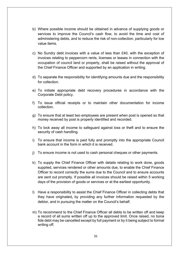- b) Where possible income should be obtained in advance of supplying goods or services to improve the Council's cash flow, to avoid the time and cost of administering debts, and to reduce the risk of non-collection, particularly for low value items.
- c) No Sundry debt invoices with a value of less than £40, with the exception of invoices relating to peppercorn rents, licenses or leases in connection with the occupation of council land or property, shall be raised without the approval of the Chief Finance Officer and supported by an application in writing.
- d) To separate the responsibility for identifying amounts due and the responsibility for collection
- e) To initiate appropriate debt recovery procedures in accordance with the Corporate Debt policy.
- f) To issue official receipts or to maintain other documentation for income collection.
- g) To ensure that at least two employees are present when post is opened so that money received by post is properly identified and recorded.
- h) To lock away all income to safeguard against loss or theft and to ensure the security of cash handling.
- i) To ensure that income is paid fully and promptly into the appropriate Council bank account in the form in which it is received.
- j) To ensure income is not used to cash personal cheques or other payments.
- k) To supply the Chief Finance Officer with details relating to work done, goods supplied, services rendered or other amounts due, to enable the Chief Finance Officer to record correctly the sums due to the Council and to ensure accounts are sent out promptly. If possible all invoices should be raised within 5 working days of the provision of goods or services or at the earliest opportunity.
- l) Have a responsibility to assist the Chief Finance Officer in collecting debts that they have originated*,* by providing any further information requested by the debtor, and in pursuing the matter on the Council's behalf.
- m) To recommend to the Chief Finance Officer all debts to be written off and keep a record of all sums written off up to the approved limit. Once raised, no bona fide debt may be cancelled except by full payment or by it being subject to formal writing off.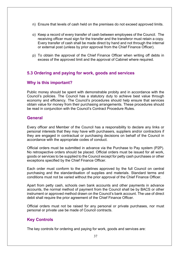- n) Ensure that levels of cash held on the premises do not exceed approved limits.
- o) Keep a record of every transfer of cash between employees of the Council. The receiving officer must sign for the transfer and the transferor must retain a copy. Every transfer of cash shall be made direct by hand and not through the internal or external post (unless by prior approval from the Chief Finance Officer).
- p) To obtain the approval of the Chief Finance Officer when writing off debts in excess of the approved limit and the approval of Cabinet where required.

#### **5.3 Ordering and paying for work, goods and services**

#### **Why is this important?**

Public money should be spent with demonstrable probity and in accordance with the Council's policies. The Council has a statutory duty to achieve best value through economy and efficiency. The Council's procedures should help ensure that services obtain value for money from their purchasing arrangements. These procedures should be read in conjunction with the Council's Contract Procedure Rules.

#### **General**

Every officer and Member of the Council has a responsibility to declare any links or personal interests that they may have with purchasers, suppliers and/or contractors if they are engaged in contractual or purchasing decisions on behalf of the Council in accordance with the appropriate codes of conduct.

Official orders must be submitted in advance via the Purchase to Pay system (P2P). No retrospective orders should be placed. Official orders must be issued for all work, goods or services to be supplied to the Council except for petty cash purchases or other exceptions specified by the Chief Finance Officer.

Each order must conform to the guidelines approved by the full Council on central purchasing and the standardisation of supplies and materials. Standard terms and conditions must not be varied without the prior approval of the Chief Finance Officer.

Apart from petty cash, schools own bank accounts and other payments in advance accounts, the normal method of payment from the Council shall be by BACS or other instrument or approved method drawn on the Council's bank account. The use of direct debit shall require the prior agreement of the Chief Finance Officer.

Official orders must not be raised for any personal or private purchases, nor must personal or private use be made of Council contracts.

# **Key Controls**

The key controls for ordering and paying for work, goods and services are: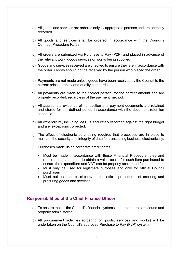- a) All goods and services are ordered only by appropriate persons and are correctly recorded.
- b) All goods and services shall be ordered in accordance with the Council's Contract Procedure Rules.
- c) All orders are submitted via Purchase to Pay (P2P) and placed in advance of the relevant work, goods services or works being supplied.
- d) Goods and services received are checked to ensure they are in accordance with the order. Goods should not be received by the person who placed the order.
- e) Payments are not made unless goods have been received by the Council to the correct price, quantity and quality standards.
- f) All payments are made to the correct person, for the correct amount and are properly recorded, regardless of the payment method.
- g) All appropriate evidence of transaction and payment documents are retained and stored for the defined period in accordance with the document retention schedule.
- h) All expenditure, including VAT, is accurately recorded against the right budget and any exceptions corrected.
- i) The effect of electronic purchasing requires that processes are in place to maintain the security and integrity of data for transacting business electronically.
- j) Purchases made using corporate credit cards:
	- Must be made in accordance with these Financial Procedure rules and requires the cardholder to obtain a valid receipt for each item purchased to ensure the expenditure and VAT can be properly accounted for
	- Must only be used for legitimate purposes and only for official Council purchases
	- Must not be used to circumvent the official procedures of ordering and procuring goods and services

#### **Responsibilities of the Chief Finance Officer**

- a) To ensure that all the Council's financial systems and procedures are sound and properly administered.
- b) All procurement activities (ordering or goods, services and works) will be undertaken on the Council's approved Purchase to Pay (P2P) system.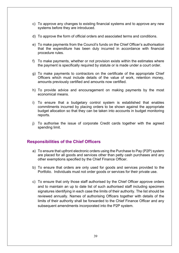- c) To approve any changes to existing financial systems and to approve any new systems before they are introduced.
- d) To approve the form of official orders and associated terms and conditions.
- e) To make payments from the Council's funds on the Chief Officer's authorisation that the expenditure has been duly incurred in accordance with financial procedure rules.
- f) To make payments, whether or not provision exists within the estimates where the payment is specifically required by statute or is made under a court order.
- g) To make payments to contractors on the certificate of the appropriate Chief Officers which must include details of the value of work, retention money, amounts previously certified and amounts now certified.
- h) To provide advice and encouragement on making payments by the most economical means.
- i) To ensure that a budgetary control system is established that enables commitments incurred by placing orders to be shown against the appropriate budget allocation so that they can be taken into accounts in budget monitoring reports.
- j) To authorise the issue of corporate Credit cards together with the agreed spending limit.

- a) To ensure that upfront electronic orders using the Purchase to Pay (P2P) system are placed for all goods and services other than petty cash purchases and any other exemptions specified by the Chief Finance Officer.
- b) To ensure that orders are only used for goods and services provided to the Portfolio. Individuals must not order goods or services for their private use.
- c) To ensure that only those staff authorised by the Chief Officer approve orders and to maintain an up to date list of such authorised staff including specimen signatures identifying in each case the limits of their authority. The list should be reviewed annually. Names of authorising Officers together with details of the limits of their authority shall be forwarded to the Chief Finance Officer and any subsequent amendments incorporated into the P2P system.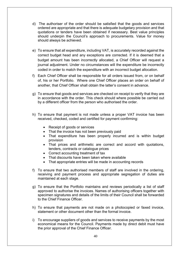- d) The authoriser of the order should be satisfied that the goods and services ordered are appropriate and that there is adequate budgetary provision and that quotations or tenders have been obtained if necessary. Best value principles should underpin the Council's approach to procurements. Value for money should always be achieved.
- e) To ensure that all expenditure, including VAT, is accurately recorded against the correct budget head and any exceptions are corrected. If it is deemed that a budget amount has been incorrectly allocated, a Chief Officer will request a journal adjustment. Under no circumstances will the expenditure be incorrectly coded in order to match the expenditure with an incorrect budget allocation.
- f) Each Chief Officer shall be responsible for all orders issued from, or on behalf of, his or her Portfolio. Where one Chief Officer places an order on behalf of another, that Chief Officer shall obtain the latter's consent in advance.
- g) To ensure that goods and services are checked on receipt to verify that they are in accordance with the order. This check should where possible be carried out by a different officer from the person who authorised the order.
- h) To ensure that payment is not made unless a proper VAT invoice has been received, checked, coded and certified for payment confirming:
	- Receipt of goods or services
	- That the invoice has not been previously paid
	- That expenditure has been properly incurred and is within budget provision
	- That prices and arithmetic are correct and accord with quotations, tenders, contracts or catalogue prices
	- Correct accounting treatment of tax
	- That discounts have been taken where available
	- That appropriate entries will be made in accounting records
- f) To ensure that two authorised members of staff are involved in the ordering, receiving and payment process and appropriate segregation of duties are maintained at each stage.
- g) To ensure that the Portfolio maintains and reviews periodically a list of staff approved to authorise the invoices. Names of authorising officers together with specimen signatures and details of the limits of their Council shall be forwarded to the Chief Finance Officer.
- h) To ensure that payments are not made on a photocopied or faxed invoice, statement or other document other than the formal invoice.
- i) To encourage suppliers of goods and services to receive payments by the most economical means for the Council. Payments made by direct debit must have the prior approval of the Chief Finance Officer.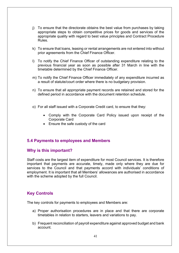- j) To ensure that the directorate obtains the best value from purchases by taking appropriate steps to obtain competitive prices for goods and services of the appropriate quality with regard to best value principles and Contract Procedure Rules.
- k) To ensure that loans, leasing or rental arrangements are not entered into without prior agreements from the Chief Finance Officer.
- l) To notify the Chief Finance Officer of outstanding expenditure relating to the previous financial year as soon as possible after 31 March in line with the timetable determined by the Chief Finance Officer.
- m) To notify the Chief Finance Officer immediately of any expenditure incurred as a result of statute/court order where there is no budgetary provision.
- n) To ensure that all appropriate payment records are retained and stored for the defined period in accordance with the document retention schedule.
- o) For all staff issued with a Corporate Credit card, to ensure that they:
	- Comply with the Corporate Card Policy issued upon receipt of the Corporate Card
	- Ensure the safe custody of the card

#### **5.4 Payments to employees and Members**

#### **Why is this important?**

Staff costs are the largest item of expenditure for most Council services. It is therefore important that payments are accurate, timely, made only where they are due for services to the Council and that payments accord with individuals' conditions of employment. It is important that all Members' allowances are authorised in accordance with the scheme adopted by the full Council.

# **Key Controls**

The key controls for payments to employees and Members are:

- a) Proper authorisation procedures are in place and that there are corporate timetables in relation to starters, leavers and variations to pay.
- b) Frequent reconciliation of payroll expenditure against approved budget and bank account.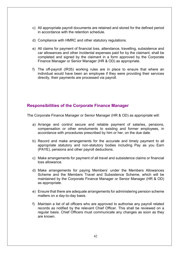- c) All appropriate payroll documents are retained and stored for the defined period in accordance with the retention schedule.
- d) Compliance with HMRC and other statutory regulations.
- e) All claims for payment of financial loss, attendance, travelling, subsistence and car allowances and other incidental expenses paid for by the claimant, shall be completed and signed by the claimant in a form approved by the Corporate Finance Manager or Senior Manager (HR & OD) as appropriate.
- f) The [off-payroll](https://www.gov.uk/guidance/ir35-find-out-if-it-applies) (IR35) working rules are in place to ensure that where an individual would have been an employee if they were providing their services directly, their payments are processed via payroll.

#### **Responsibilities of the Corporate Finance Manager**

The Corporate Finance Manager or Senior Manager (HR & OD) as appropriate will:

- a) Arrange and control secure and reliable payment of salaries, pensions, compensation or other emoluments to existing and former employees, in accordance with procedures prescribed by him or her, on the due date.
- b) Record and make arrangements for the accurate and timely payment to all appropriate statutory and non-statutory bodies including Pay as you Earn (PAYE), pensions and other payroll deductions.
- c) Make arrangements for payment of all travel and subsistence claims or financial loss allowance.
- d) Make arrangements for paying Members' under the Members Allowances Scheme and the Members Travel and Subsistence Scheme, which will be maintained by the Corporate Finance Manager or Senior Manager (HR & OD) as appropriate.
- e) Ensure that there are adequate arrangements for administering pension scheme matters on a day-to-day basis.
- f) Maintain a list of all officers who are approved to authorise any payroll related records as notified by the relevant Chief Officer. This shall be reviewed on a regular basis. Chief Officers must communicate any changes as soon as they are known.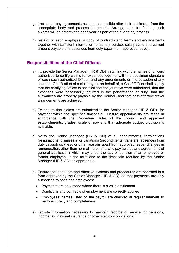- g) Implement pay agreements as soon as possible after their notification from the appropriate body and process increments. Arrangements for funding such awards will be determined each year as part of the budgetary process.
- h) Retain for each employee, a copy of contracts and terms and engagements together with sufficient information to identify service, salary scale and current amount payable and absences from duty (apart from approved leave).

- a) To provide the Senior Manager (HR & OD) in writing with the names of officers authorised to certify claims for expenses together with the specimen signature of each such authorised Officer, and any amendments on the occasion of any change. Certification of a claim by, or on behalf of, a Chief Officer shall signify that the certifying Officer is satisfied that the journeys were authorised, that the expenses were necessarily incurred in the performance of duty, that the allowances are properly payable by the Council, and that cost-effective travel arrangements are achieved.
- b) To ensure that claims are submitted to the Senior Manager (HR & OD) for payment within the specified timescale. Ensure appointments are made in accordance with the Procedure Rules of the Council and approved establishments, grades, scale of pay and that adequate budget provision is available.
- c) Notify the Senior Manager (HR & OD) of all appointments, terminations (resignations, dismissals) or variations (secondments, transfers, absences from duty through sickness or other reasons apart from approved leave, changes in remuneration, other than normal increments and pay awards and agreements of general application) which may affect the pay or pension of an employee or former employee, in the form and to the timescale required by the Senior Manager (HR & OD) as appropriate.
- d) Ensure that adequate and effective systems and procedures are operated in a form approved by the Senior Manager (HR & OD), so that payments are only authorised to bona fide employees:
	- Payments are only made where there is a valid entitlement
	- Conditions and contracts of employment are correctly applied
	- Employees' names listed on the payroll are checked at regular intervals to verify accuracy and completeness
- e) Provide information necessary to maintain records of service for pensions, income tax, national insurance or other statutory obligations.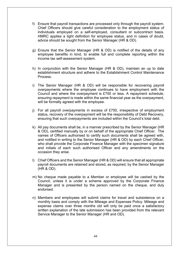- f) Ensure that payroll transactions are processed only through the payroll system. Chief Officers should give careful consideration to the employment status of individuals employed on a self-employed, consultant or subcontract basis. HMRC applies a tight definition for employee status, and in cases of doubt, advice should be sought from the Senior Manager (HR & OD).
- g) Ensure that the Senior Manager (HR & OD) is notified of the details of any employee benefits in kind, to enable full and complete reporting within the income tax self-assessment system.
- h) In conjunction with the Senior Manager (HR & OD), maintain an up to date establishment structure and adhere to the Establishment Control Maintenance Process.
- i) The Senior Manager (HR & OD) will be responsible for recovering payroll overpayments where the employee continues to have employment with the Council and where the overpayment is £750 or less. A repayment schedule, ensuring repayment is made within the same financial year as the overpayment, will be formally agreed with the employee.
- j) For all payroll overpayments in excess of £750, irrespective of employment status, recovery of the overpayment will be the responsibility of Debt Recovery, ensuring that such overpayments are included within the Council's total debt.
- k) All pay documents shall be, in a manner prescribed by the Senior Manager (HR & OD), certified manually by or on behalf of the appropriate Chief Officer. The names of Officers authorised to certify such documents shall be agreed with, and notified in writing to the Senior Manager (HR & OD) by each Chief Officer, who shall provide the Corporate Finance Manager with the specimen signature and initials of each such authorised Officer and any amendments on the occasion they arise.
- l) Chief Officers and the Senior Manager (HR & OD) will ensure that all appropriate payroll documents are retained and stored, as required, by the Senior Manager (HR & OD).
- m) No cheque made payable to a Member or employee will be cashed by the Council, unless it is under a scheme approved by the Corporate Finance Manager and is presented by the person named on the cheque, and duly endorsed.
- n) Members and employees will submit claims for travel and subsistence on a monthly basis and comply with the Mileage and Expenses Policy. Mileage and expense claims over three months old will only be paid once a satisfactory written explanation of the late submission has been provided from the relevant Service Manager to the Senior Manager (HR and OD).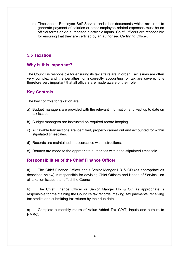o) Timesheets, Employee Self Service and other documents which are used to generate payment of salaries or other employee related expenses must be on official forms or via authorised electronic inputs. Chief Officers are responsible for ensuring that they are certified by an authorised Certifying Officer.

# **5.5 Taxation**

#### **Why is this important?**

The Council is responsible for ensuring its tax affairs are in order. Tax issues are often very complex and the penalties for incorrectly accounting for tax are severe. It is therefore very important that all officers are made aware of their role.

#### **Key Controls**

The key controls for taxation are:

- a) Budget managers are provided with the relevant information and kept up to date on tax issues.
- b) Budget managers are instructed on required record keeping.
- c) All taxable transactions are identified, properly carried out and accounted for within stipulated timescales.
- d) Records are maintained in accordance with instructions.
- e) Returns are made to the appropriate authorities within the stipulated timescale.

#### **Responsibilities of the Chief Finance Officer**

a) The Chief Finance Officer and / Senior Manger HR & OD (as appropriate as described below) is responsible for advising Chief Officers and Heads of Service, on all taxation issues that affect the Council.

b) The Chief Finance Officer or Senior Manger HR & OD as appropriate is responsible for maintaining the Council's tax records, making tax payments, receiving tax credits and submitting tax returns by their due date.

c) Complete a monthly return of Value Added Tax (VAT) inputs and outputs to HMRC.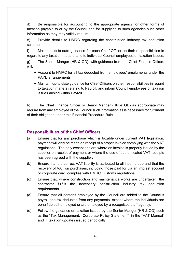d) Be responsible for accounting to the appropriate agency for other forms of taxation payable to or by the Council and for supplying to such agencies such other information as they may validly require.

e) Provide details to HMRC regarding the construction industry tax deduction scheme.

f) Maintain up-to-date guidance for each Chief Officer on their responsibilities in regard to any taxation matters, and to individual Council employees on taxation issues.

g) The Senior Manger (HR & OD), with guidance from the Chief Finance Officer, will:

- Account to HMRC for all tax deducted from employees' emoluments under the PAYE arrangements
- Maintain up-to-date guidance for Chief Officers on their responsibilities in regard to taxation matters relating to Payroll, and inform Council employees of taxation issues arising within Payroll

h) The Chief Finance Officer or Senior Manger (HR & OD) as appropriate may require from any employee of the Council such information as is necessary for fulfilment of their obligation under this Financial Procedure Rule.

- (a) Ensure that for any purchase which is taxable under current VAT legislation, payment will only be made on receipt of a proper invoice complying with the VAT regulations. The only exceptions are where an invoice is properly issued by the supplier on receipt of payment or where the use of authenticated VAT receipts has been agreed with the supplier.
- (b) Ensure that the correct VAT liability is attributed to all income due and that the recovery of VAT on purchases, including those paid for via an imprest account or corporate card, complies with HMRC Customs regulations.
- (c) Ensure that, where construction and maintenance works are undertaken, the contractor fulfils the necessary construction industry tax deduction requirements.
- (d) Ensure that all persons employed by the Council are added to the Council's payroll and tax deducted from any payments, except where the individuals are bona fide self-employed or are employed by a recognised staff agency.
- (e) Follow the guidance on taxation issued by the Senior Manger (HR & OD) such as the "Tax Management: Corporate Policy Statement"; in the "VAT Manual" and in taxation updates issued periodically.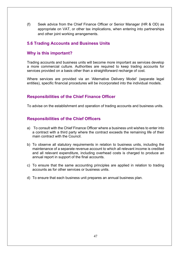(f) Seek advice from the Chief Finance Officer or Senior Manager (HR & OD) as appropriate on VAT, or other tax implications, when entering into partnerships and other joint working arrangements.

#### **5.6 Trading Accounts and Business Units**

#### **Why is this important?**

Trading accounts and business units will become more important as services develop a more commercial culture. Authorities are required to keep trading accounts for services provided on a basis other than a straightforward recharge of cost.

Where services are provided via an 'Alternative Delivery Model' (separate legal entities), specific financial procedures will be incorporated into the individual models.

#### **Responsibilities of the Chief Finance Officer**

To advise on the establishment and operation of trading accounts and business units.

- a) To consult with the Chief Finance Officer where a business unit wishes to enter into a contract with a third party where the contract exceeds the remaining life of their main contract with the Council.
- b) To observe all statutory requirements in relation to business units, including the maintenance of a separate revenue account to which all relevant income is credited and all relevant expenditure, including overhead costs is charged to produce an annual report in support of the final accounts.
- c) To ensure that the same accounting principles are applied in relation to trading accounts as for other services or business units.
- d) To ensure that each business unit prepares an annual business plan.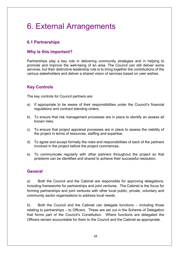# 6. External Arrangements

# **6.1 Partnerships**

# **Why is this important?**

Partnerships play a key role in delivering community strategies and in helping to promote and improve the well-being of an area. The Council can still deliver some services, but their distinctive leadership role is to bring together the contributions of the various stakeholders and deliver a shared vision of services based on user wishes.

# **Key Controls**

The key controls for Council partners are:

- a) If appropriate to be aware of their responsibilities under the Council's financial regulations and contract standing orders.
- b) To ensure that risk management processes are in place to identify an assess all known risks.
- c) To ensure that project appraisal processes are in place to assess the viability of the project in terms of resources, staffing and expertise.
- d) To agree and accept formally the roles and responsibilities of each of the partners involved in the project before the project commences.
- e) To communicate regularly with other partners throughout the project so that problems can be identified and shared to achieve their successful resolution.

# **General**

a) Both the Council and the Cabinet are responsible for approving delegations, including frameworks for partnerships and joint ventures. The Cabinet is the focus for forming partnerships and joint ventures with other local public, private, voluntary and community sector organisations to address local needs.

b) Both the Council and the Cabinet can delegate functions – including those relating to partnerships – to Officers. These are set out in the Scheme of Delegation that forms part of the Council's Constitution. Where functions are delegated the Officers remain accountable for them to the Council and the Cabinet as appropriate.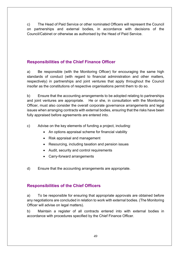c) The Head of Paid Service or other nominated Officers will represent the Council on partnerships and external bodies, in accordance with decisions of the Council/Cabinet or otherwise as authorised by the Head of Paid Service.

# **Responsibilities of the Chief Finance Officer**

a) Be responsible (with the Monitoring Officer) for encouraging the same high standards of conduct (with regard to financial administration and other matters, respectively) in partnerships and joint ventures that apply throughout the Council insofar as the constitutions of respective organisations permit them to do so.

b) Ensure that the accounting arrangements to be adopted relating to partnerships and joint ventures are appropriate. He or she, in consultation with the Monitoring Officer, must also consider the overall corporate governance arrangements and legal issues when arranging contracts with external bodies, ensuring that the risks have been fully appraised before agreements are entered into.

- c) Advise on the key elements of funding a project, including:
	- An options appraisal scheme for financial viability
	- Risk appraisal and management
	- Resourcing, including taxation and pension issues
	- Audit, security and control requirements
	- Carry-forward arrangements
- d) Ensure that the accounting arrangements are appropriate.

# **Responsibilities of the Chief Officers**

a) To be responsible for ensuring that appropriate approvals are obtained before any negotiations are concluded in relation to work with external bodies. (The Monitoring Officer will advise on legal matters).

b) Maintain a register of all contracts entered into with external bodies in accordance with procedures specified by the Chief Finance Officer.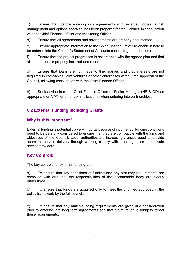c) Ensure that, before entering into agreements with external bodies, a risk management and options appraisal has been prepared for the Cabinet, in consultation with the Chief Finance Officer and Monitoring Officer.

d) Ensure that all agreements and arrangements are properly documented.

e) Provide appropriate information to the Chief Finance Officer to enable a note to be entered into the Council's Statement of Accounts concerning material items.

f) Ensure that the project progresses in accordance with the agreed plan and that all expenditure is properly incurred and recorded.

g) Ensure that loans are not made to third parties and that interests are not acquired in companies, joint ventures or other enterprises without the approval of the Council, following consultation with the Chief Finance Officer.

h) Seek advice from the Chief Finance Officer or Senior Manager (HR & OD) as appropriate on VAT, or other tax implications, when entering into partnerships.

# **6.2 External Funding including Grants**

#### **Why is this important?**

External funding is potentially a very important source of income, but funding conditions need to be carefully considered to ensure that they are compatible with the aims and objectives of the Council. Local authorities are increasingly encouraged to provide seamless service delivery through working closely with other agencies and private service providers.

# **Key Controls**

The key controls for external funding are:

a) To ensure that key conditions of funding and any statutory requirements are complied with and that the responsibilities of the accountable body are clearly understood.

b) To ensure that funds are acquired only to meet the priorities approved in the policy framework by the full council.

c) To ensure that any match funding requirements are given due consideration prior to entering into long term agreements and that future revenue budgets reflect these requirements.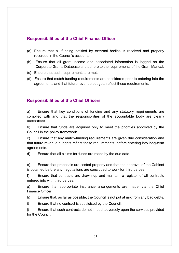# **Responsibilities of the Chief Finance Officer**

- (a) Ensure that all funding notified by external bodies is received and properly recorded in the Council's accounts.
- (b) Ensure that all grant income and associated information is logged on the Corporate Grants Database and adhere to the requirements of the Grant Manual.
- (c) Ensure that audit requirements are met.
- (d) Ensure that match funding requirements are considered prior to entering into the agreements and that future revenue budgets reflect these requirements.

# **Responsibilities of the Chief Officers**

a) Ensure that key conditions of funding and any statutory requirements are complied with and that the responsibilities of the accountable body are clearly understood.

b) Ensure that funds are acquired only to meet the priorities approved by the Council in the policy framework.

c) Ensure that any match-funding requirements are given due consideration and that future revenue budgets reflect these requirements, before entering into long-term agreements.

d) Ensure that all claims for funds are made by the due date.

e) Ensure that proposals are costed properly and that the approval of the Cabinet is obtained before any negotiations are concluded to work for third parties.

f) Ensure that contracts are drawn up and maintain a register of all contracts entered into with third parties.

g) Ensure that appropriate insurance arrangements are made, via the Chief Finance Officer.

h) Ensure that, as far as possible, the Council is not put at risk from any bad debts.

i) Ensure that no contract is subsidised by the Council.

j) Ensure that such contracts do not impact adversely upon the services provided for the Council.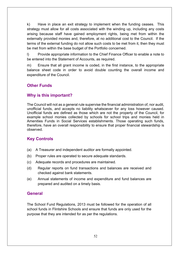k) Have in place an exit strategy to implement when the funding ceases. This strategy must allow for all costs associated with the winding up, including any costs arising because staff have gained employment rights, being met from within the externally provided monies and, therefore, at no additional cost to the Council. If the terms of the external funding do not allow such costs to be met from it, then they must be met from within the base budget of the Portfolio concerned.

l) Provide appropriate information to the Chief Finance Officer to enable a note to be entered into the Statement of Accounts, as required.

m) Ensure that all grant income is coded, in the first instance, to the appropriate balance sheet code in order to avoid double counting the overall income and expenditure of the Council.

# **Other Funds**

#### **Why is this important?**

The Council will not as a general rule supervise the financial administration of, nor audit, unofficial funds, and accepts no liability whatsoever for any loss however caused. Unofficial funds are defined as those which are not the property of the Council, for example school monies collected by schools for school trips and monies held in Amenities Funds in Social Services establishments. Those operating such funds, therefore, have an overall responsibility to ensure that proper financial stewardship is observed.

#### **Key Controls**

- (a) A Treasurer and independent auditor are formally appointed.
- (b) Proper rules are operated to secure adequate standards.
- (c) Adequate records and procedures are maintained.
- (d) Regular reports on fund transactions and balances are received and checked against bank statements.
- (e) Annual statements of income and expenditure and fund balances are prepared and audited on a timely basis.

#### **General**

The School Fund Regulations, 2013 must be followed for the operation of all school funds in Flintshire Schools and ensure that funds are only used for the purpose that they are intended for as per the regulations.